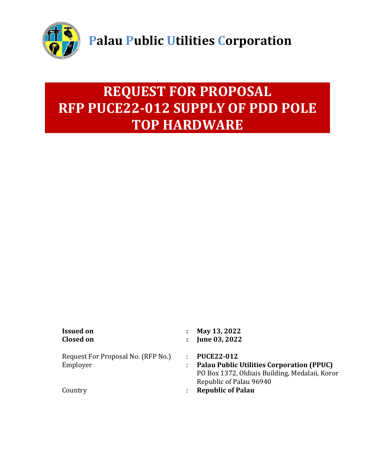

# **REQUEST FOR PROPOSAL RFP PUCE22-012 SUPPLY OF PDD POLE TOP HARDWARE**

Request For Proposal No. (RFP No.) : **PUCE22-012**

- **Issued on : May 13, 2022**
- **Closed on : June 03, 2022**
	-
- Employer : **Palau Public Utilities Corporation (PPUC)** PO Box 1372, Oldiais Building, Medalaii, Koror Republic of Palau 96940
- Country : **Republic of Palau**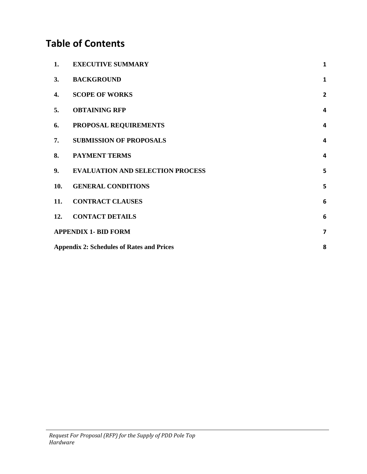# **Table of Contents**

| 1.  | <b>EXECUTIVE SUMMARY</b>                         | $\mathbf{1}$            |  |
|-----|--------------------------------------------------|-------------------------|--|
| 3.  | <b>BACKGROUND</b>                                | $\mathbf{1}$            |  |
| 4.  | <b>SCOPE OF WORKS</b>                            | $\overline{2}$          |  |
| 5.  | <b>OBTAINING RFP</b>                             | $\overline{a}$          |  |
| 6.  | PROPOSAL REQUIREMENTS                            | $\overline{a}$          |  |
| 7.  | <b>SUBMISSION OF PROPOSALS</b>                   | $\overline{\mathbf{4}}$ |  |
| 8.  | <b>PAYMENT TERMS</b>                             | $\overline{\mathbf{4}}$ |  |
| 9.  | <b>EVALUATION AND SELECTION PROCESS</b>          | 5                       |  |
| 10. | <b>GENERAL CONDITIONS</b>                        | 5                       |  |
| 11. | <b>CONTRACT CLAUSES</b>                          | $6\phantom{1}6$         |  |
| 12. | <b>CONTACT DETAILS</b>                           | 6                       |  |
|     | <b>APPENDIX 1- BID FORM</b>                      | $\overline{\mathbf{z}}$ |  |
|     | <b>Appendix 2: Schedules of Rates and Prices</b> |                         |  |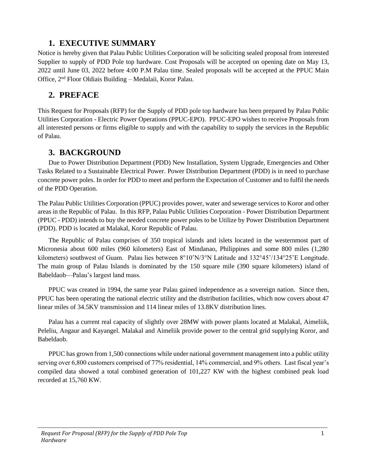# **1. EXECUTIVE SUMMARY**

<span id="page-2-0"></span>Notice is hereby given that Palau Public Utilities Corporation will be soliciting sealed proposal from interested Supplier to supply of PDD Pole top hardware. Cost Proposals will be accepted on opening date on May 13, 2022 until June 03, 2022 before 4:00 P.M Palau time. Sealed proposals will be accepted at the PPUC Main Office, 2nd Floor Oldiais Building – Medalaii, Koror Palau.

# **2. PREFACE**

This Request for Proposals (RFP) for the Supply of PDD pole top hardware has been prepared by Palau Public Utilities Corporation - Electric Power Operations (PPUC-EPO). PPUC-EPO wishes to receive Proposals from all interested persons or firms eligible to supply and with the capability to supply the services in the Republic of Palau.

## <span id="page-2-1"></span>**3. BACKGROUND**

Due to Power Distribution Department (PDD) New Installation, System Upgrade, Emergencies and Other Tasks Related to a Sustainable Electrical Power. Power Distribution Department (PDD) is in need to purchase concrete power poles. In order for PDD to meet and perform the Expectation of Customer and to fulfil the needs of the PDD Operation.

The Palau Public Utilities Corporation (PPUC) provides power, water and sewerage services to Koror and other areas in the Republic of Palau. In this RFP, Palau Public Utilities Corporation - Power Distribution Department (PPUC - PDD) intends to buy the needed concrete power poles to be Utilize by Power Distribution Department (PDD). PDD is located at Malakal, Koror Republic of Palau.

The Republic of Palau comprises of 350 tropical islands and islets located in the westernmost part of Micronesia about 600 miles (960 kilometers) East of Mindanao, Philippines and some 800 miles (1,280 kilometers) southwest of Guam. Palau lies between 8°10'N/3°N Latitude and 132°45'/134°25'E Longitude. The main group of Palau Islands is dominated by the 150 square mile (390 square kilometers) island of Babeldaob—Palau's largest land mass.

PPUC was created in 1994, the same year Palau gained independence as a sovereign nation. Since then, PPUC has been operating the national electric utility and the distribution facilities, which now covers about 47 linear miles of 34.5KV transmission and 114 linear miles of 13.8KV distribution lines.

Palau has a current real capacity of slightly over 28MW with power plants located at Malakal, Aimeliik, Peleliu, Angaur and Kayangel. Malakal and Aimeliik provide power to the central grid supplying Koror, and Babeldaob.

PPUC has grown from 1,500 connections while under national government management into a public utility serving over 6,800 customers comprised of 77% residential, 14% commercial, and 9% others. Last fiscal year's compiled data showed a total combined generation of 101,227 KW with the highest combined peak load recorded at 15,760 KW.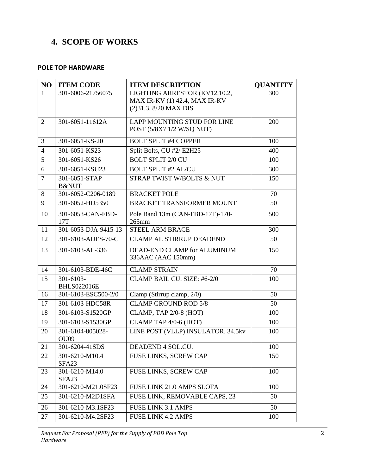# <span id="page-3-0"></span>**4. SCOPE OF WORKS**

#### **POLE TOP HARDWARE**

| NO             | <b>ITEM CODE</b>                    | <b>ITEM DESCRIPTION</b>                                                                  | <b>QUANTITY</b> |
|----------------|-------------------------------------|------------------------------------------------------------------------------------------|-----------------|
| $\mathbf{1}$   | 301-6006-21756075                   | LIGHTING ARRESTOR (KV12,10.2,<br>MAX IR-KV (1) 42.4, MAX IR-KV<br>(2) 31.3, 8/20 MAX DIS | 300             |
| $\overline{2}$ | 301-6051-11612A                     | LAPP MOUNTING STUD FOR LINE<br>POST (5/8X7 1/2 W/SQ NUT)                                 | 200             |
| 3              | 301-6051-KS-20                      | <b>BOLT SPLIT #4 COPPER</b>                                                              | 100             |
| $\overline{4}$ | 301-6051-KS23                       | Split Bolts, CU #2/ E2H25                                                                | 400             |
| 5              | 301-6051-KS26                       | <b>BOLT SPLIT 2/0 CU</b>                                                                 | 100             |
| 6              | 301-6051-KSU23                      | <b>BOLT SPLIT #2 AL/CU</b>                                                               | 300             |
| $\overline{7}$ | 301-6051-STAP<br><b>B&amp;NUT</b>   | STRAP TWIST W/BOLTS & NUT                                                                | 150             |
| 8              | 301-6052-C206-0189                  | <b>BRACKET POLE</b>                                                                      | 70              |
| 9              | 301-6052-HD5350                     | <b>BRACKET TRANSFORMER MOUNT</b>                                                         | 50              |
| 10             | 301-6053-CAN-FBD-<br>17T            | Pole Band 13m (CAN-FBD-17T)-170-<br>$265$ mm                                             | 500             |
| 11             | 301-6053-DJA-9415-13                | <b>STEEL ARM BRACE</b>                                                                   | 300             |
| 12             | 301-6103-ADES-70-C                  | <b>CLAMP AL STIRRUP DEADEND</b>                                                          | 50              |
| 13             | 301-6103-AL-336                     | DEAD-END CLAMP for ALUMINUM<br>336AAC (AAC 150mm)                                        | 150             |
| 14             | 301-6103-BDE-46C                    | <b>CLAMP STRAIN</b>                                                                      | 70              |
| 15             | 301-6103-<br><b>BHLS022016E</b>     | CLAMP BAIL CU. SIZE: #6-2/0                                                              | 100             |
| 16             | 301-6103-ESC500-2/0                 | Clamp (Stirrup clamp, 2/0)                                                               | 50              |
| 17             | 301-6103-HDC58R                     | <b>CLAMP GROUND ROD 5/8</b>                                                              | 50              |
| 18             | 301-6103-S1520GP                    | CLAMP, TAP 2/0-8 (HOT)                                                                   | 100             |
| 19             | 301-6103-S1530GP                    | CLAMP TAP 4/0-6 (HOT)                                                                    | 100             |
| 20             | 301-6104-805028-<br>OU09            | LINE POST (VLLP) INSULATOR, 34.5kv                                                       | 100             |
| 21             | 301-6204-41SDS                      | DEADEND 4 SOL.CU.                                                                        | 100             |
| 22             | 301-6210-M10.4<br>SFA <sub>23</sub> | FUSE LINKS, SCREW CAP                                                                    | 150             |
| 23             | 301-6210-M14.0<br>SFA <sub>23</sub> | FUSE LINKS, SCREW CAP                                                                    | 100             |
| 24             | 301-6210-M21.0SF23                  | FUSE LINK 21.0 AMPS SLOFA                                                                | 100             |
| 25             | 301-6210-M2D1SFA                    | FUSE LINK, REMOVABLE CAPS, 23                                                            | 50              |
| 26             | 301-6210-M3.1SF23                   | <b>FUSE LINK 3.1 AMPS</b>                                                                | 50              |
| 27             | 301-6210-M4.2SF23                   | <b>FUSE LINK 4.2 AMPS</b>                                                                | 100             |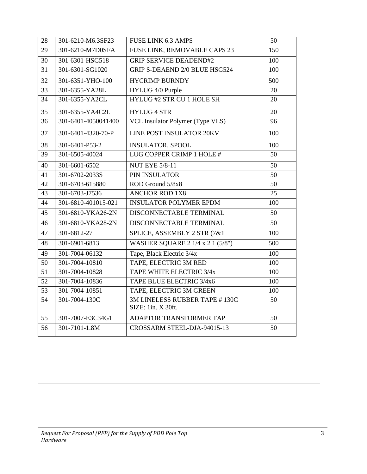| 28 | 301-6210-M6.3SF23   | <b>FUSE LINK 6.3 AMPS</b>                           | 50  |
|----|---------------------|-----------------------------------------------------|-----|
| 29 | 301-6210-M7D0SFA    | FUSE LINK, REMOVABLE CAPS 23                        | 150 |
| 30 | 301-6301-HSG518     | <b>GRIP SERVICE DEADEND#2</b>                       | 100 |
| 31 | 301-6301-SG1020     | GRIP S-DEAEND 2/0 BLUE HSG524                       | 100 |
| 32 | 301-6351-YHO-100    | <b>HYCRIMP BURNDY</b>                               | 500 |
| 33 | 301-6355-YA28L      | HYLUG 4/0 Purple                                    | 20  |
| 34 | 301-6355-YA2CL      | HYLUG #2 STR CU 1 HOLE SH                           | 20  |
| 35 | 301-6355-YA4C2L     | <b>HYLUG 4 STR</b>                                  | 20  |
| 36 | 301-6401-4050041400 | VCL Insulator Polymer (Type VLS)                    | 96  |
| 37 | 301-6401-4320-70-P  | <b>LINE POST INSULATOR 20KV</b>                     | 100 |
| 38 | 301-6401-P53-2      | <b>INSULATOR, SPOOL</b>                             | 100 |
| 39 | 301-6505-40024      | LUG COPPER CRIMP 1 HOLE #                           | 50  |
| 40 | 301-6601-6502       | <b>NUT EYE 5/8-11</b>                               | 50  |
| 41 | 301-6702-2033S      | PIN INSULATOR                                       | 50  |
| 42 | 301-6703-615880     | ROD Ground 5/8x8                                    | 50  |
| 43 | 301-6703-J7536      | <b>ANCHOR ROD 1X8</b>                               | 25  |
| 44 | 301-6810-401015-021 | <b>INSULATOR POLYMER EPDM</b>                       | 100 |
| 45 | 301-6810-YKA26-2N   | DISCONNECTABLE TERMINAL                             | 50  |
| 46 | 301-6810-YKA28-2N   | DISCONNECTABLE TERMINAL                             | 50  |
| 47 | 301-6812-27         | SPLICE, ASSEMBLY 2 STR (7&1)                        | 100 |
| 48 | 301-6901-6813       | WASHER SQUARE 2 1/4 x 2 1 (5/8")                    | 500 |
| 49 | 301-7004-06132      | Tape, Black Electric 3/4x                           | 100 |
| 50 | 301-7004-10810      | TAPE, ELECTRIC 3M RED                               | 100 |
| 51 | 301-7004-10828      | TAPE WHITE ELECTRIC 3/4x                            | 100 |
| 52 | 301-7004-10836      | TAPE BLUE ELECTRIC 3/4x6                            | 100 |
| 53 | 301-7004-10851      | TAPE, ELECTRIC 3M GREEN                             | 100 |
| 54 | 301-7004-130C       | 3M LINELESS RUBBER TAPE #130C<br>SIZE: 1in. X 30ft. | 50  |
| 55 | 301-7007-E3C34G1    | ADAPTOR TRANSFORMER TAP                             | 50  |
| 56 | 301-7101-1.8M       | CROSSARM STEEL-DJA-94015-13                         | 50  |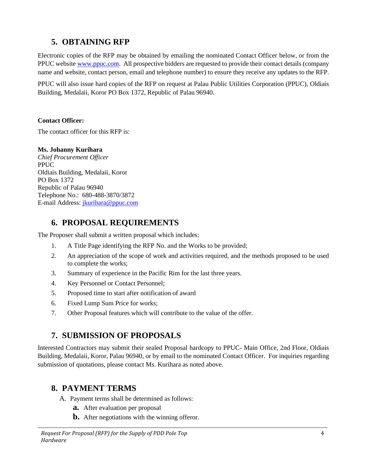# **5. OBTAINING RFP**

<span id="page-5-0"></span>Electronic copies of the RFP may be obtained by emailing the nominated Contact Officer below, or from the PPUC website [www.ppuc.com.](http://www.ppuc.com/) All prospective bidders are requested to provide their contact details (company name and website, contact person, email and telephone number) to ensure they receive any updates to the RFP.

PPUC will also issue hard copies of the RFP on request at Palau Public Utilities Corporation (PPUC), Oldiais Building, Medalaii, Koror PO Box 1372, Republic of Palau 96940.

#### **Contact Officer:**

The contact officer for this RFP is:

#### **Ms. Johanny Kurihara**

*Chief Procurement Officer* PPUC Oldiais Building, Medalaii, Koror PO Box 1372 Republic of Palau 96940 Telephone No.: 680-488-3870/3872 E-mail Address: jkurihara@ppuc.com

## <span id="page-5-1"></span>**6. PROPOSAL REQUIREMENTS**

The Proposer shall submit a written proposal which includes:

- 1. A Title Page identifying the RFP No. and the Works to be provided;
- 2. An appreciation of the scope of work and activities required, and the methods proposed to be used to complete the works;
- 3. Summary of experience in the Pacific Rim for the last three years.
- 4. Key Personnel or Contact Personnel;
- 5. Proposed time to start after notification of award
- 6. Fixed Lump Sum Price for works;
- 7. Other Proposal features which will contribute to the value of the offer.

# <span id="page-5-2"></span>**7. SUBMISSION OF PROPOSALS**

Interested Contractors may submit their sealed Proposal hardcopy to PPUC- Main Office, 2nd Floor, Oldiais Building, Medalaii, Koror, Palau 96940, or by email to the nominated Contact Officer. For inquiries regarding submission of quotations, please contact Ms. Kurihara as noted above.

## <span id="page-5-3"></span>**8. PAYMENT TERMS**

- A. Payment terms shall be determined as follows:
	- **a.** After evaluation per proposal
	- **b.** After negotiations with the winning offeror.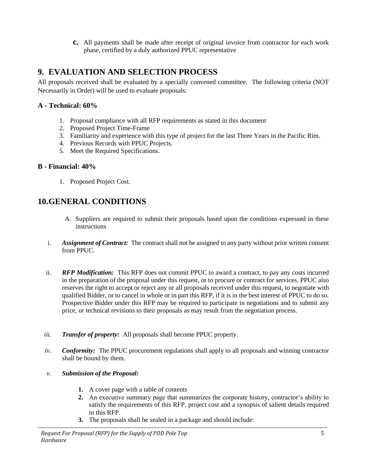**c.** All payments shall be made after receipt of original invoice from contractor for each work phase, certified by a duly authorized PPUC representative

# <span id="page-6-0"></span>**9. EVALUATION AND SELECTION PROCESS**

All proposals received shall be evaluated by a specially convened committee. The following criteria (NOT Necessarily in Order) will be used to evaluate proposals:

#### **A - Technical: 60%**

- 1. Proposal compliance with all RFP requirements as stated in this document
- 2. Proposed Project Time-Frame
- 3. Familiarity and experience with this type of project for the last Three Years in the Pacific Rim.
- 4. Previous Records with PPUC Projects.
- 5. Meet the Required Specifications.

#### **B - Financial: 40%**

1. Proposed Project Cost.

# <span id="page-6-1"></span>**10.GENERAL CONDITIONS**

- A. Suppliers are required to submit their proposals based upon the conditions expressed in these instructions
- i. *Assignment of Contract:* The contract shall not be assigned to any party without prior written consent from PPUC.
- ii. *RFP Modification:* This RFP does not commit PPUC to award a contract, to pay any costs incurred in the preparation of the proposal under this request, or to procure or contract for services. PPUC also reserves the right to accept or reject any or all proposals received under this request, to negotiate with qualified Bidder, or to cancel in whole or in part this RFP, if it is in the best interest of PPUC to do so. Prospective Bidder under this RFP may be required to participate in negotiations and to submit any price, or technical revisions to their proposals as may result from the negotiation process.
- *iii. Transfer of property:* All proposals shall become PPUC property.
- *iv. Conformity:* The PPUC procurement regulations shall apply to all proposals and winning contractor shall be bound by them.
- *v. Submission of the Proposal:*
	- **1.** A cover page with a table of contents
	- **2.** An executive summary page that summarizes the corporate history, contractor's ability to satisfy the requirements of this RFP, project cost and a synopsis of salient details required in this RFP.
	- **3.** The proposals shall be sealed in a package and should include: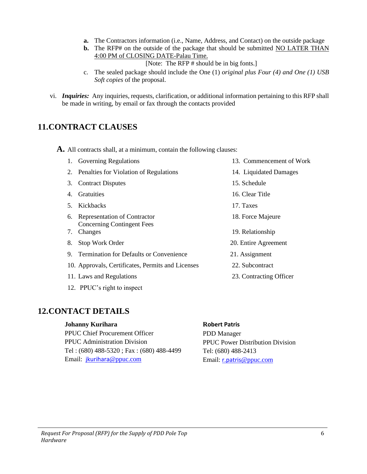- **a.** The Contractors information (i.e., Name, Address, and Contact) on the outside package
- **b.** The RFP# on the outside of the package that should be submitted NO LATER THAN 4:00 PM of CLOSING DATE-Palau Time.
	- [Note: The RFP # should be in big fonts.]
- c. The sealed package should include the One (1) *original plus Four (4) and One (1) USB Soft copies* of the proposal.
- vi. *Inquiries:* Any inquiries, requests, clarification, or additional information pertaining to this RFP shall be made in writing, by email or fax through the contacts provided

#### <span id="page-7-0"></span>**11.CONTRACT CLAUSES**

**A.** All contracts shall, at a minimum, contain the following clauses:

- 1. Governing Regulations 13. Commencement of Work
- 2. Penalties for Violation of Regulations 14. Liquidated Damages
- 3. Contract Disputes 15. Schedule
- 4. Gratuities 16. Clear Title
- 5. Kickbacks 17. Taxes
- 6. Representation of Contractor 18. Force Majeure Concerning Contingent Fees
- 7. Changes 19. Relationship
- 8. Stop Work Order 20. Entire Agreement
- 9. Termination for Defaults or Convenience 21. Assignment
- 10. Approvals, Certificates, Permits and Licenses 22. Subcontract
- 11. Laws and Regulations 23. Contracting Officer
- 12. PPUC's right to inspect

## <span id="page-7-1"></span>**12.CONTACT DETAILS**

#### **Johanny Kurihara**

PPUC Chief Procurement Officer PPUC Administration Division Tel : (680) 488-5320 ; Fax : (680) 488-4499 Email: [jkurihara](mailto:jkurihara@ppuc.com)[@ppuc.com](mailto:jkurihara@ppuc.com)

#### **Robert Patris**

PDD Manager PPUC Power Distribution Division Tel: (680) 488-2413 Email: [r.patris](mailto:r.patris@ppuc.com)[@ppuc.com](mailto:r.patris@ppuc.com)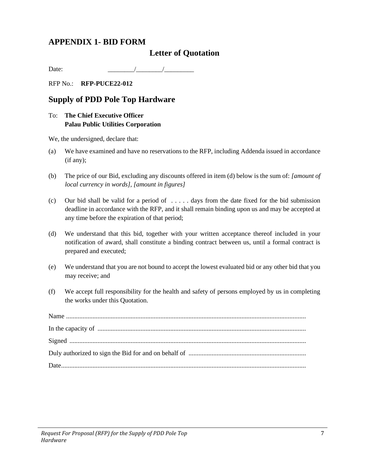## <span id="page-8-0"></span>**APPENDIX 1- BID FORM**

#### **Letter of Quotation**

Date:  $\sqrt{2\pi}$ 

RFP No.: **RFP-PUCE22-012**

#### **Supply of PDD Pole Top Hardware**

#### To: **The Chief Executive Officer Palau Public Utilities Corporation**

We, the undersigned, declare that:

- (a) We have examined and have no reservations to the RFP, including Addenda issued in accordance (if any);
- (b) The price of our Bid, excluding any discounts offered in item (d) below is the sum of: *[amount of local currency in words], [amount in figures]*
- (c) Our bid shall be valid for a period of  $\dots$  days from the date fixed for the bid submission deadline in accordance with the RFP, and it shall remain binding upon us and may be accepted at any time before the expiration of that period;
- (d) We understand that this bid, together with your written acceptance thereof included in your notification of award, shall constitute a binding contract between us, until a formal contract is prepared and executed;
- (e) We understand that you are not bound to accept the lowest evaluated bid or any other bid that you may receive; and
- (f) We accept full responsibility for the health and safety of persons employed by us in completing the works under this Quotation.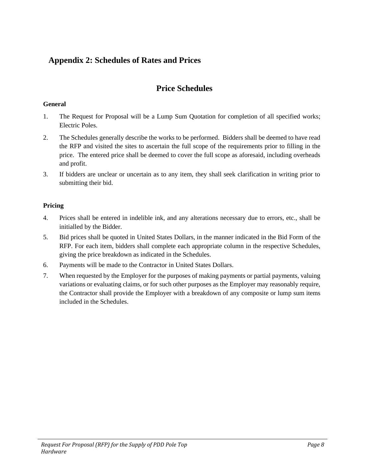# <span id="page-9-0"></span>**Appendix 2: Schedules of Rates and Prices**

# **Price Schedules**

#### **General**

- 1. The Request for Proposal will be a Lump Sum Quotation for completion of all specified works; Electric Poles.
- 2. The Schedules generally describe the works to be performed. Bidders shall be deemed to have read the RFP and visited the sites to ascertain the full scope of the requirements prior to filling in the price. The entered price shall be deemed to cover the full scope as aforesaid, including overheads and profit.
- 3. If bidders are unclear or uncertain as to any item, they shall seek clarification in writing prior to submitting their bid.

#### **Pricing**

- 4. Prices shall be entered in indelible ink, and any alterations necessary due to errors, etc., shall be initialled by the Bidder.
- 5. Bid prices shall be quoted in United States Dollars, in the manner indicated in the Bid Form of the RFP. For each item, bidders shall complete each appropriate column in the respective Schedules, giving the price breakdown as indicated in the Schedules.
- 6. Payments will be made to the Contractor in United States Dollars.
- 7. When requested by the Employer for the purposes of making payments or partial payments, valuing variations or evaluating claims, or for such other purposes as the Employer may reasonably require, the Contractor shall provide the Employer with a breakdown of any composite or lump sum items included in the Schedules.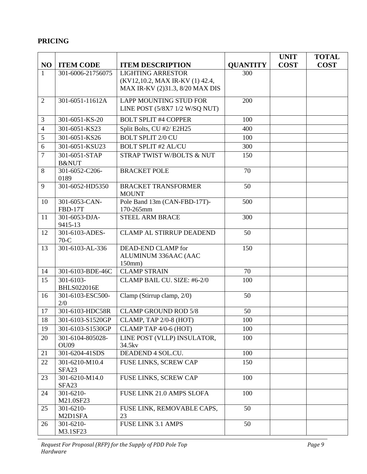# **PRICING**

|                |                                     |                                                                    |                 | <b>UNIT</b> | <b>TOTAL</b> |
|----------------|-------------------------------------|--------------------------------------------------------------------|-----------------|-------------|--------------|
| NO             | <b>ITEM CODE</b>                    | <b>ITEM DESCRIPTION</b>                                            | <b>QUANTITY</b> | <b>COST</b> | <b>COST</b>  |
| $\mathbf{1}$   | 301-6006-21756075                   | <b>LIGHTING ARRESTOR</b>                                           | 300             |             |              |
|                |                                     | (KV12,10.2, MAX IR-KV (1) 42.4,<br>MAX IR-KV (2)31.3, 8/20 MAX DIS |                 |             |              |
|                |                                     |                                                                    |                 |             |              |
| $\overline{2}$ | 301-6051-11612A                     | <b>LAPP MOUNTING STUD FOR</b>                                      | 200             |             |              |
|                |                                     | LINE POST (5/8X7 1/2 W/SQ NUT)                                     |                 |             |              |
| 3              | 301-6051-KS-20                      | <b>BOLT SPLIT #4 COPPER</b>                                        | 100             |             |              |
| $\overline{4}$ | 301-6051-KS23                       | Split Bolts, CU #2/ E2H25                                          | 400             |             |              |
| 5              | 301-6051-KS26                       | <b>BOLT SPLIT 2/0 CU</b>                                           | 100             |             |              |
| 6              | 301-6051-KSU23                      | <b>BOLT SPLIT #2 AL/CU</b>                                         | 300             |             |              |
| $\overline{7}$ | 301-6051-STAP<br><b>B&amp;NUT</b>   | STRAP TWIST W/BOLTS & NUT                                          | 150             |             |              |
| 8              | 301-6052-C206-                      | <b>BRACKET POLE</b>                                                | 70              |             |              |
|                | 0189                                |                                                                    |                 |             |              |
| 9              | 301-6052-HD5350                     | <b>BRACKET TRANSFORMER</b><br><b>MOUNT</b>                         | 50              |             |              |
| 10             | 301-6053-CAN-                       | Pole Band 13m (CAN-FBD-17T)-                                       | 500             |             |              |
|                | <b>FBD-17T</b>                      | 170-265mm                                                          |                 |             |              |
| 11             | 301-6053-DJA-<br>9415-13            | <b>STEEL ARM BRACE</b>                                             | 300             |             |              |
| 12             | 301-6103-ADES-<br>$70-C$            | <b>CLAMP AL STIRRUP DEADEND</b>                                    | 50              |             |              |
| 13             | 301-6103-AL-336                     | DEAD-END CLAMP for                                                 | 150             |             |              |
|                |                                     | ALUMINUM 336AAC (AAC                                               |                 |             |              |
|                |                                     | $150$ mm $)$                                                       |                 |             |              |
| 14             | 301-6103-BDE-46C                    | <b>CLAMP STRAIN</b>                                                | 70              |             |              |
| 15             | 301-6103-<br><b>BHLS022016E</b>     | CLAMP BAIL CU. SIZE: #6-2/0                                        | 100             |             |              |
| 16             | 301-6103-ESC500-                    | Clamp (Stirrup clamp, 2/0)                                         | 50              |             |              |
|                | 2/0                                 |                                                                    |                 |             |              |
| 17             | 301-6103-HDC58R                     | <b>CLAMP GROUND ROD 5/8</b>                                        | 50              |             |              |
| 18             | 301-6103-S1520GP                    | CLAMP, TAP 2/0-8 (HOT)                                             | 100             |             |              |
| 19             | 301-6103-S1530GP                    | CLAMP TAP 4/0-6 (HOT)                                              | 100             |             |              |
| 20             | 301-6104-805028-                    | LINE POST (VLLP) INSULATOR,                                        | 100             |             |              |
|                | OU09                                | 34.5kv                                                             |                 |             |              |
| 21             | 301-6204-41SDS                      | DEADEND 4 SOL.CU.                                                  | 100             |             |              |
| 22             | 301-6210-M10.4<br>SFA <sub>23</sub> | FUSE LINKS, SCREW CAP                                              | 150             |             |              |
| 23             | 301-6210-M14.0                      | FUSE LINKS, SCREW CAP                                              | 100             |             |              |
|                | SFA <sub>23</sub>                   |                                                                    |                 |             |              |
| 24             | 301-6210-                           | FUSE LINK 21.0 AMPS SLOFA                                          | 100             |             |              |
|                | M21.0SF23                           |                                                                    |                 |             |              |
| 25             | 301-6210-<br>M2D1SFA                | FUSE LINK, REMOVABLE CAPS,<br>23                                   | 50              |             |              |
| 26             | 301-6210-                           | <b>FUSE LINK 3.1 AMPS</b>                                          | 50              |             |              |
|                | M3.1SF23                            |                                                                    |                 |             |              |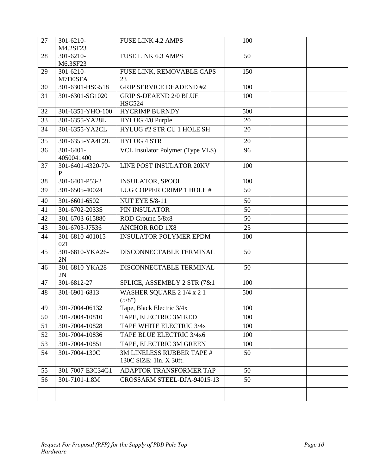| 27 | 301-6210-<br>M4.2SF23        | <b>FUSE LINK 4.2 AMPS</b>                            | 100 |  |
|----|------------------------------|------------------------------------------------------|-----|--|
| 28 | 301-6210-<br>M6.3SF23        | <b>FUSE LINK 6.3 AMPS</b>                            | 50  |  |
| 29 | 301-6210-                    | FUSE LINK, REMOVABLE CAPS                            | 150 |  |
|    | M7D0SFA                      | 23                                                   |     |  |
| 30 | 301-6301-HSG518              | <b>GRIP SERVICE DEADEND #2</b>                       | 100 |  |
| 31 | 301-6301-SG1020              | <b>GRIP S-DEAEND 2/0 BLUE</b><br><b>HSG524</b>       | 100 |  |
| 32 | 301-6351-YHO-100             | <b>HYCRIMP BURNDY</b>                                | 500 |  |
| 33 | 301-6355-YA28L               | HYLUG 4/0 Purple                                     | 20  |  |
| 34 | 301-6355-YA2CL               | HYLUG #2 STR CU 1 HOLE SH                            | 20  |  |
| 35 | 301-6355-YA4C2L              | <b>HYLUG 4 STR</b>                                   | 20  |  |
| 36 | $301 - 6401 -$<br>4050041400 | VCL Insulator Polymer (Type VLS)                     | 96  |  |
| 37 | 301-6401-4320-70-<br>P       | LINE POST INSULATOR 20KV                             | 100 |  |
| 38 | 301-6401-P53-2               | <b>INSULATOR, SPOOL</b>                              | 100 |  |
| 39 | 301-6505-40024               | LUG COPPER CRIMP 1 HOLE #                            | 50  |  |
| 40 | 301-6601-6502                | <b>NUT EYE 5/8-11</b>                                | 50  |  |
| 41 | 301-6702-2033S               | PIN INSULATOR                                        | 50  |  |
| 42 | 301-6703-615880              | ROD Ground 5/8x8                                     | 50  |  |
| 43 | 301-6703-J7536               | <b>ANCHOR ROD 1X8</b>                                | 25  |  |
| 44 | 301-6810-401015-<br>021      | <b>INSULATOR POLYMER EPDM</b>                        | 100 |  |
| 45 | 301-6810-YKA26-<br>2N        | DISCONNECTABLE TERMINAL                              | 50  |  |
| 46 | 301-6810-YKA28-<br>2N        | DISCONNECTABLE TERMINAL                              | 50  |  |
| 47 | 301-6812-27                  | SPLICE, ASSEMBLY 2 STR (7&1                          | 100 |  |
| 48 | 301-6901-6813                | WASHER SQUARE 2 1/4 x 2 1<br>(5/8")                  | 500 |  |
| 49 | 301-7004-06132               | Tape, Black Electric 3/4x                            | 100 |  |
| 50 | 301-7004-10810               | TAPE, ELECTRIC 3M RED                                | 100 |  |
| 51 | 301-7004-10828               | TAPE WHITE ELECTRIC 3/4x                             | 100 |  |
| 52 | 301-7004-10836               | TAPE BLUE ELECTRIC 3/4x6                             | 100 |  |
| 53 | 301-7004-10851               | TAPE, ELECTRIC 3M GREEN                              | 100 |  |
| 54 | 301-7004-130C                | 3M LINELESS RUBBER TAPE #<br>130C SIZE: 1in. X 30ft. | 50  |  |
| 55 | 301-7007-E3C34G1             | ADAPTOR TRANSFORMER TAP                              | 50  |  |
| 56 | 301-7101-1.8M                | CROSSARM STEEL-DJA-94015-13                          | 50  |  |
|    |                              |                                                      |     |  |